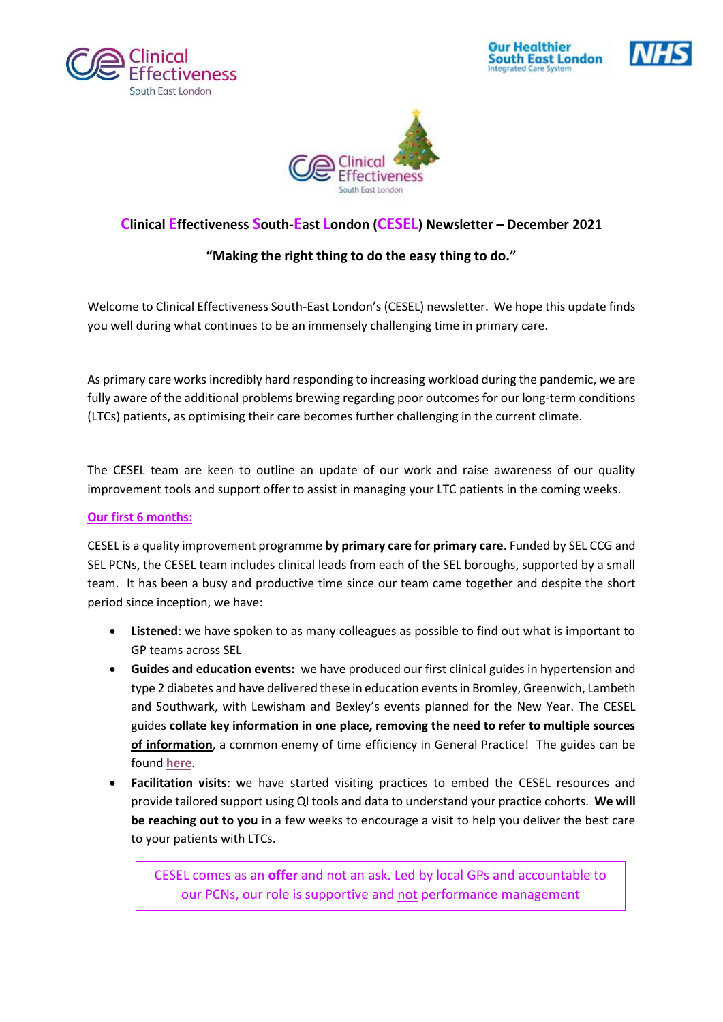







## **Clinical Effectiveness South-East London (CESEL) Newsletter – December 2021**

## **"Making the right thing to do the easy thing to do."**

Welcome to Clinical Effectiveness South-East London's (CESEL) newsletter. We hope this update finds you well during what continues to be an immensely challenging time in primary care.

As primary care works incredibly hard responding to increasing workload during the pandemic, we are fully aware of the additional problems brewing regarding poor outcomes for our long-term conditions (LTCs) patients, as optimising their care becomes further challenging in the current climate.

The CESEL team are keen to outline an update of our work and raise awareness of our quality improvement tools and support offer to assist in managing your LTC patients in the coming weeks.

## **Our first 6 months:**

CESEL is a quality improvement programme **by primary care for primary care**. Funded by SEL CCG and SEL PCNs, the CESEL team includes clinical leads from each of the SEL boroughs, supported by a small team. It has been a busy and productive time since our team came together and despite the short period since inception, we have:

- **Listened**: we have spoken to as many colleagues as possible to find out what is important to GP teams across SEL
- **Guides and education events:** we have produced our first clinical guides in hypertension and type 2 diabetes and have delivered these in education events in Bromley, Greenwich, Lambeth and Southwark, with Lewisham and Bexley's events planned for the New Year. The CESEL guides **collate key information in one place, removing the need to refer to multiple sources of information**, a common enemy of time efficiency in General Practice! The guides can be found **[here](https://selondonccg.nhs.uk/covid_19/clinical-effectiveness-sel/)**.
- **Facilitation visits**: we have started visiting practices to embed the CESEL resources and provide tailored support using QI tools and data to understand your practice cohorts. **We will be reaching out to you** in a few weeks to encourage a visit to help you deliver the best care to your patients with LTCs.

CESEL comes as an **offer** and not an ask. Led by local GPs and accountable to our PCNs, our role is supportive and not performance management